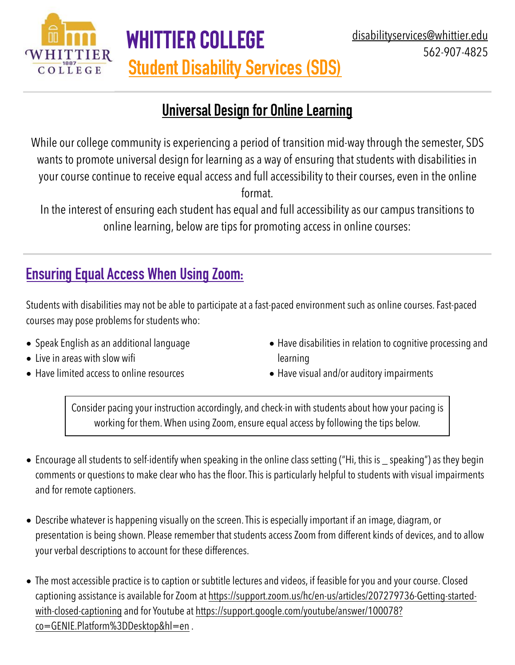

## **Universal Design for Online Learning**

**Student Disability Services (SDS)**

**Whittier College** 

While our college community is experiencing a period of transition mid-way through the semester, SDS wants to promote universal design for learning as a way of ensuring that students with disabilities in your course continue to receive equal access and full accessibility to their courses, even in the online format.

In the interest of ensuring each student has equal and full accessibility as our campus transitions to online learning, below are tips for promoting access in online courses:

## **Ensuring Equal Access When Using Zoom:**

Students with disabilities may not be able to participate at a fast-paced environment such as online courses. Fast-paced courses may pose problems for students who:

- Speak English as an additional language
- Live in areas with slow wifi
- Have limited access to online resources
- Have disabilities in relation to cognitive processing and learning
- Have visual and/or auditory impairments

Consider pacing your instruction accordingly, and check-in with students about how your pacing is working for them. When using Zoom, ensure equal access by following the tips below.

- Encourage all students to self-identify when speaking in the online class setting ("Hi, this is \_ speaking") as they begin comments or questions to make clear who has the floor. This is particularly helpful to students with visual impairments and for remote captioners.
- Describe whatever is happening visually on the screen. This is especially important if an image, diagram, or presentation is being shown. Please remember that students access Zoom from different kinds of devices, and to allow your verbal descriptions to account for these differences.
- The most accessible practice is to caption or subtitle lectures and videos, if feasible for you and your course. Closed captioning assistance is available for Zoom at [https://support.zoom.us/hc/en-us/articles/207279736-Getting-started](https://support.zoom.us/hc/en-us/articles/207279736-Getting-started-with-closed-captioning)[with-closed-captioning](https://support.zoom.us/hc/en-us/articles/207279736-Getting-started-with-closed-captioning) and for Youtube at [https://support.google.com/youtube/answer/100078?](https://support.google.com/youtube/answer/100078?co=GENIE.Platform%3DDesktop&hl=en) [co=GENIE.Platform%3DDesktop&hl=en](https://support.google.com/youtube/answer/100078?co=GENIE.Platform%3DDesktop&hl=en) .